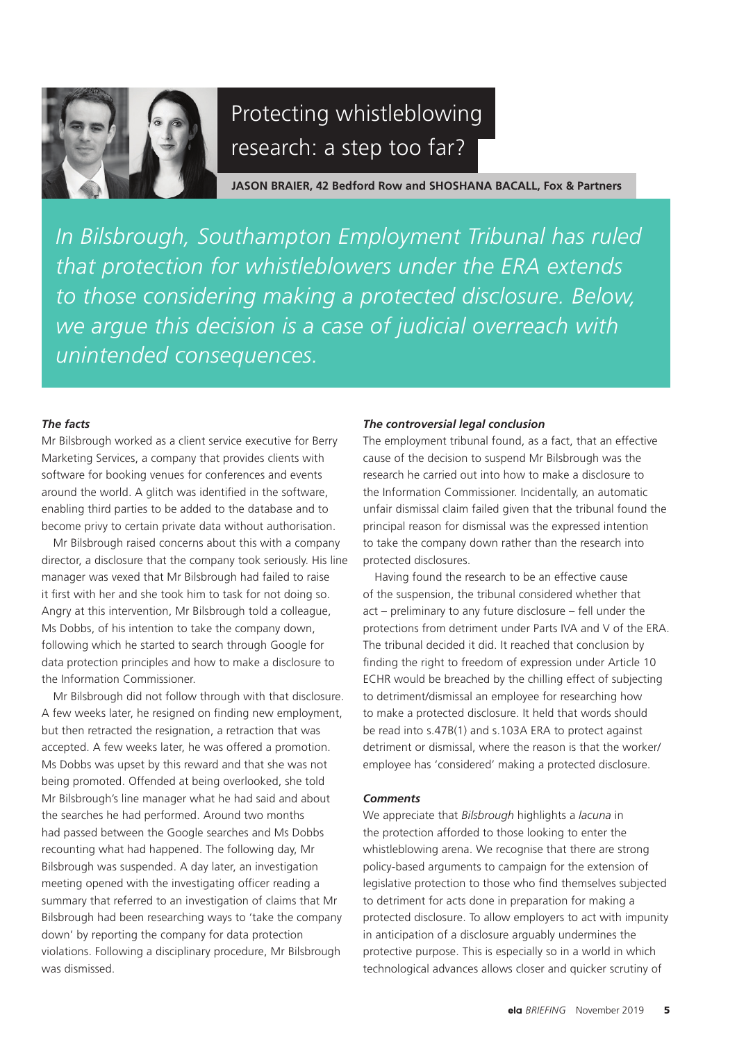

# Protecting whistleblowing research: a step too far?

**JASON BRAIER, 42 Bedford Row and SHOSHANA BACALL, Fox & Partners**

*In Bilsbrough, Southampton Employment Tribunal has ruled that protection for whistleblowers under the ERA extends to those considering making a protected disclosure. Below, we argue this decision is a case of judicial overreach with unintended consequences.*

## *The facts*

Mr Bilsbrough worked as a client service executive for Berry Marketing Services, a company that provides clients with software for booking venues for conferences and events around the world. A glitch was identified in the software, enabling third parties to be added to the database and to become privy to certain private data without authorisation.

Mr Bilsbrough raised concerns about this with a company director, a disclosure that the company took seriously. His line manager was vexed that Mr Bilsbrough had failed to raise it first with her and she took him to task for not doing so. Angry at this intervention, Mr Bilsbrough told a colleague, Ms Dobbs, of his intention to take the company down, following which he started to search through Google for data protection principles and how to make a disclosure to the Information Commissioner.

Mr Bilsbrough did not follow through with that disclosure. A few weeks later, he resigned on finding new employment, but then retracted the resignation, a retraction that was accepted. A few weeks later, he was offered a promotion. Ms Dobbs was upset by this reward and that she was not being promoted. Offended at being overlooked, she told Mr Bilsbrough's line manager what he had said and about the searches he had performed. Around two months had passed between the Google searches and Ms Dobbs recounting what had happened. The following day, Mr Bilsbrough was suspended. A day later, an investigation meeting opened with the investigating officer reading a summary that referred to an investigation of claims that Mr Bilsbrough had been researching ways to 'take the company down' by reporting the company for data protection violations. Following a disciplinary procedure, Mr Bilsbrough was dismissed.

#### *The controversial legal conclusion*

The employment tribunal found, as a fact, that an effective cause of the decision to suspend Mr Bilsbrough was the research he carried out into how to make a disclosure to the Information Commissioner. Incidentally, an automatic unfair dismissal claim failed given that the tribunal found the principal reason for dismissal was the expressed intention to take the company down rather than the research into protected disclosures.

Having found the research to be an effective cause of the suspension, the tribunal considered whether that act – preliminary to any future disclosure – fell under the protections from detriment under Parts IVA and V of the ERA. The tribunal decided it did. It reached that conclusion by finding the right to freedom of expression under Article 10 ECHR would be breached by the chilling effect of subjecting to detriment/dismissal an employee for researching how to make a protected disclosure. It held that words should be read into s.47B(1) and s.103A ERA to protect against detriment or dismissal, where the reason is that the worker/ employee has 'considered' making a protected disclosure.

## *Comments*

We appreciate that *Bilsbrough* highlights a *lacuna* in the protection afforded to those looking to enter the whistleblowing arena. We recognise that there are strong policy-based arguments to campaign for the extension of legislative protection to those who find themselves subjected to detriment for acts done in preparation for making a protected disclosure. To allow employers to act with impunity in anticipation of a disclosure arguably undermines the protective purpose. This is especially so in a world in which technological advances allows closer and quicker scrutiny of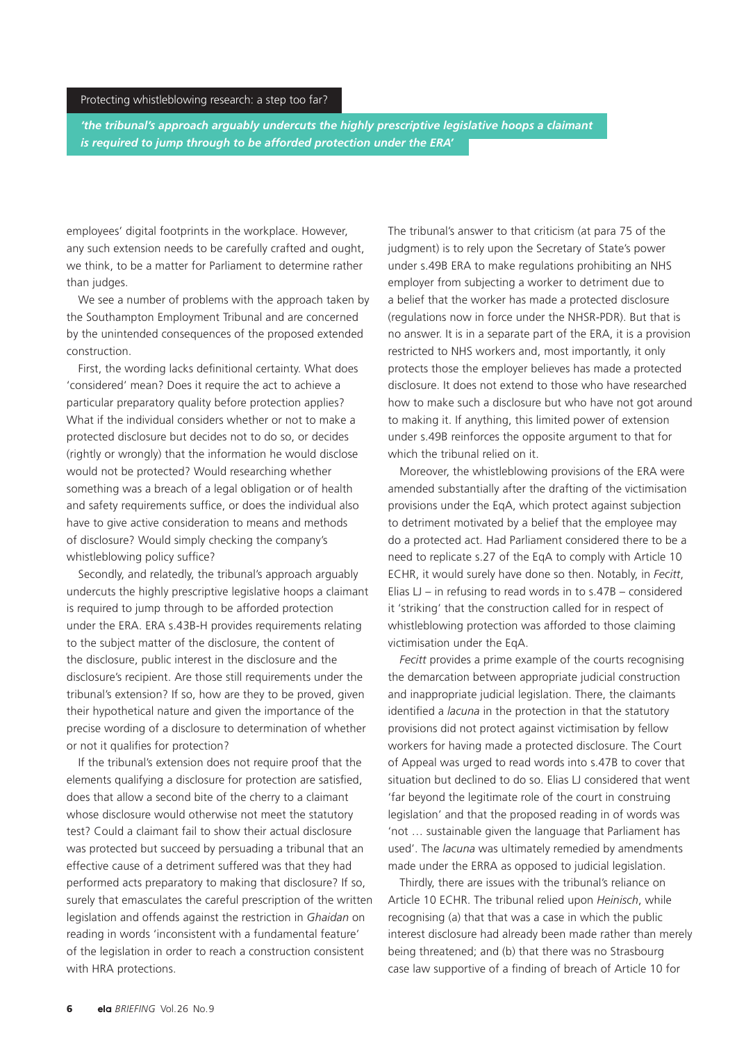#### Protecting whistleblowing research: a step too far?

*'the tribunal's approach arguably undercuts the highly prescriptive legislative hoops a claimant is required to jump through to be afforded protection under the ERA'*

employees' digital footprints in the workplace. However, any such extension needs to be carefully crafted and ought, we think, to be a matter for Parliament to determine rather than judges.

We see a number of problems with the approach taken by the Southampton Employment Tribunal and are concerned by the unintended consequences of the proposed extended construction.

First, the wording lacks definitional certainty. What does 'considered' mean? Does it require the act to achieve a particular preparatory quality before protection applies? What if the individual considers whether or not to make a protected disclosure but decides not to do so, or decides (rightly or wrongly) that the information he would disclose would not be protected? Would researching whether something was a breach of a legal obligation or of health and safety requirements suffice, or does the individual also have to give active consideration to means and methods of disclosure? Would simply checking the company's whistleblowing policy suffice?

Secondly, and relatedly, the tribunal's approach arguably undercuts the highly prescriptive legislative hoops a claimant is required to jump through to be afforded protection under the ERA. ERA s.43B-H provides requirements relating to the subject matter of the disclosure, the content of the disclosure, public interest in the disclosure and the disclosure's recipient. Are those still requirements under the tribunal's extension? If so, how are they to be proved, given their hypothetical nature and given the importance of the precise wording of a disclosure to determination of whether or not it qualifies for protection?

If the tribunal's extension does not require proof that the elements qualifying a disclosure for protection are satisfied, does that allow a second bite of the cherry to a claimant whose disclosure would otherwise not meet the statutory test? Could a claimant fail to show their actual disclosure was protected but succeed by persuading a tribunal that an effective cause of a detriment suffered was that they had performed acts preparatory to making that disclosure? If so, surely that emasculates the careful prescription of the written legislation and offends against the restriction in *Ghaidan* on reading in words 'inconsistent with a fundamental feature' of the legislation in order to reach a construction consistent with HRA protections.

The tribunal's answer to that criticism (at para 75 of the judgment) is to rely upon the Secretary of State's power under s.49B ERA to make regulations prohibiting an NHS employer from subjecting a worker to detriment due to a belief that the worker has made a protected disclosure (regulations now in force under the NHSR-PDR). But that is no answer. It is in a separate part of the ERA, it is a provision restricted to NHS workers and, most importantly, it only protects those the employer believes has made a protected disclosure. It does not extend to those who have researched how to make such a disclosure but who have not got around to making it. If anything, this limited power of extension under s.49B reinforces the opposite argument to that for which the tribunal relied on it.

Moreover, the whistleblowing provisions of the ERA were amended substantially after the drafting of the victimisation provisions under the EqA, which protect against subjection to detriment motivated by a belief that the employee may do a protected act. Had Parliament considered there to be a need to replicate s.27 of the EqA to comply with Article 10 ECHR, it would surely have done so then. Notably, in *Fecitt*, Elias  $LI$  – in refusing to read words in to  $s.47B$  – considered it 'striking' that the construction called for in respect of whistleblowing protection was afforded to those claiming victimisation under the EqA.

*Fecitt* provides a prime example of the courts recognising the demarcation between appropriate judicial construction and inappropriate judicial legislation. There, the claimants identified a *lacuna* in the protection in that the statutory provisions did not protect against victimisation by fellow workers for having made a protected disclosure. The Court of Appeal was urged to read words into s.47B to cover that situation but declined to do so. Elias LJ considered that went 'far beyond the legitimate role of the court in construing legislation' and that the proposed reading in of words was 'not … sustainable given the language that Parliament has used'. The *lacuna* was ultimately remedied by amendments made under the ERRA as opposed to judicial legislation.

Thirdly, there are issues with the tribunal's reliance on Article 10 ECHR. The tribunal relied upon *Heinisch*, while recognising (a) that that was a case in which the public interest disclosure had already been made rather than merely being threatened; and (b) that there was no Strasbourg case law supportive of a finding of breach of Article 10 for